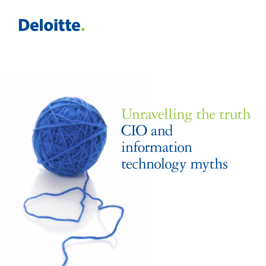### **Deloitte.**



Unravelling the truth CIO and information technology myths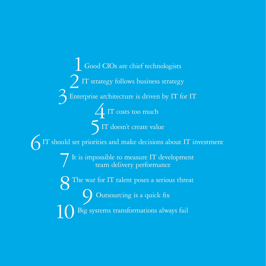Good CIOs are chief technologists IT strategy follows business strategy Enterprise architecture is driven by IT for IT IT costs too much IT doesn't create value IT should set priorities and make decisions about IT investment It is impossible to measure IT development team delivery performance The war for IT talent poses a serious threat Outsourcing is a quick fix Big systems transformations always fail 2  $3 \overline{\smash{\mathsf{E}}\ }$  enterprise ar  $\begin{bmatrix} 5 \end{bmatrix}$  IT should set priorities 7  $8<sup>The wa</sup>$ 10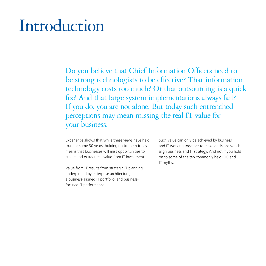### Introduction

Do you believe that Chief Information Officers need to be strong technologists to be effective? That information technology costs too much? Or that outsourcing is a quick fix? And that large system implementations always fail? If you do, you are not alone. But today such entrenched perceptions may mean missing the real IT value for your business.

Experience shows that while these views have held true for some 30 years, holding on to them today means that businesses will miss opportunities to create and extract real value from IT investment.

Value from IT results from strategic IT planning underpinned by enterprise architecture, a business-aligned IT portfolio, and businessfocused IT performance.

Such value can only be achieved by business and IT working together to make decisions which align business and IT strategy. And not if you hold on to some of the ten commonly held CIO and IT myths.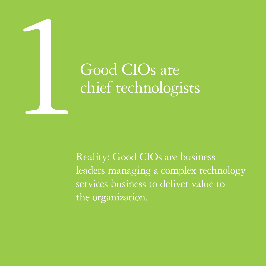# 1964 Good CIOs are chief technologi chief technologists

Reality: Good CIOs are business leaders managing a complex technology services business to deliver value to the organization.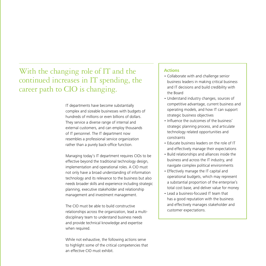#### With the changing role of IT and the continued increases in IT spending, the career path to CIO is changing.

IT departments have become substantially complex and sizeable businesses with budgets of hundreds of millions or even billions of dollars. They service a diverse range of internal and external customers, and can employ thousands of IT personnel. The IT department now resembles a professional service organization rather than a purely back-office function.

Managing today's IT department requires CIOs to be effective beyond the traditional technology design, implementation and operational roles. A CIO must not only have a broad understanding of information technology and its relevance to the business but also needs broader skills and experience including strategic planning, executive stakeholder and relationship management and investment management.

The CIO must be able to build constructive relationships across the organization, lead a multidisciplinary team to understand business needs and provide technical knowledge and expertise when required.

While not exhaustive, the following actions serve to highlight some of the critical competencies that an effective CIO must exhibit.

- • Collaborate with and challenge senior business leaders in making critical business and IT decisions and build credibility with the Board
- Understand industry changes, sources of competitive advantage, current business and operating models, and how IT can support strategic business objectives
- Influence the outcomes of the business' strategic planning process, and articulate technology related opportunities and constraints
- Educate business leaders on the role of IT and effectively manage their expectations
- Build relationships and alliances inside the business and across the IT industry, and navigate complex political environments
- Effectively manage the IT capital and operational budgets, which may represent a substantial proportion of the enterprise's total cost base, and deliver value for money
- Lead a business-focused IT team that has a good reputation with the business and effectively manages stakeholder and customer expectations.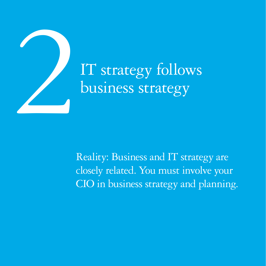

# business strategy

Reality: Business and IT strategy are closely related. You must involve your CIO in business strategy and planning.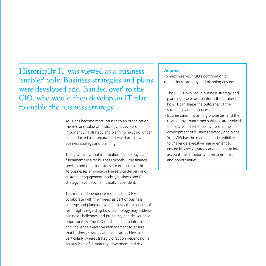Historically IT was viewed as a business 'enabler' only. Business strategies and plans were developed and 'handed over' to the CIO, who would then develop an IT plan to enable the business strategy.

> As IT has become more intrinsic to an organization. the role and value of IT strategy has evolved. Importantly, IT strategy and planning must no longer be conducted as a separate activity that follows business strategy and planning.

Today we know that information technology can fundamentally alter business models – the financial services and retail industries are examples of this. As businesses embrace online service delivery and customer engagement models, business and IT strategy have become mutually dependent.

This mutual dependence requires that CIOs collaborate with their peers as part of business strategy and planning, which allows the injection of real insights regarding how technology may address business challenges and problems, and deliver new opportunities. The CIO must be able to inform and challenge executive management to ensure that business strategy and plans are achievable, particularly where strategic direction depends on a certain level of IT maturity, investment and risk.

#### **Actions**

To maximize your CIO's contribution to the business strategy and planning ensure:

- The CIO is involved in business strategy and planning processes to inform the business how IT can shape the outcomes of the strategic planning process
- Business and IT planning processes, and the related governance mechanisms, are evolved to allow your CIO to be involved in the development of business strategy and plans
- Your CIO has the mandate and credibility to challenge executive management to ensure business strategy and plans take into account the IT maturity, investment, risk and opportunities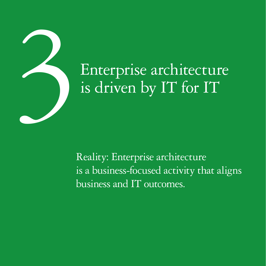

# is driven by IT for IT

Reality: Enterprise architecture is a business-focused activity that aligns business and IT outcomes.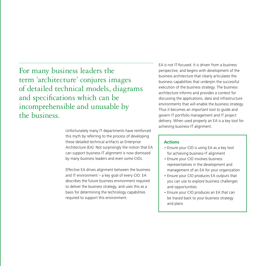For many business leaders the term 'architecture' conjures images of detailed technical models, diagrams and specifications which can be incomprehensible and unusable by the business.

> Unfortunately many IT departments have reinforced this myth by referring to the process of developing these detailed technical artifacts as Enterprise Architecture (EA). Not surprisingly the notion that EA can support business-IT alignment is now dismissed by many business leaders and even some CIOs.

Effective EA drives alignment between the business and IT environment – a key goal of every CIO. EA describes the future business environment required to deliver the business strategy, and uses this as a basis for determining the technology capabilities required to support this environment.

EA is not IT-focused. It is driven from a business perspective, and begins with development of the business architecture that clearly articulates the business capabilities that underpin the successful execution of the business strategy. The business architecture informs and provides a context for discussing the applications, data and infrastructure environments that will enable the business strategy. Thus it becomes an important tool to guide and govern IT portfolio management and IT project delivery. When used properly an EA is a key tool for achieving business-IT alignment.

- Ensure your CIO is using EA as a key tool for achieving business-IT alignment
- Ensure your CIO involves business representatives in the development and management of an EA for your organization
- Ensure your CIO produces EA outputs that you can use to explore business challenges and opportunities
- Ensure your CIO produces an EA that can be traced back to your business strategy and plans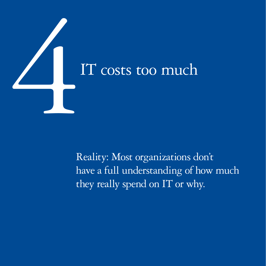

Reality: Most organizations don't have a full understanding of how much they really spend on IT or why.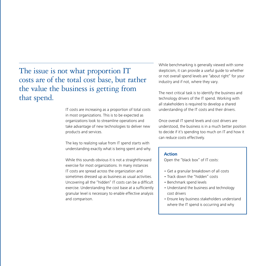#### The issue is not what proportion IT costs are of the total cost base, but rather the value the business is getting from that spend.

IT costs are increasing as a proportion of total costs in most organizations. This is to be expected as organizations look to streamline operations and take advantage of new technologies to deliver new products and services.

The key to realizing value from IT spend starts with understanding exactly what is being spent and why.

While this sounds obvious it is not a straightforward exercise for most organizations. In many instances IT costs are spread across the organization and sometimes dressed up as business as usual activities. Uncovering all the "hidden" IT costs can be a difficult exercise. Understanding the cost base at a sufficiently granular level is necessary to enable effective analysis and comparison.

While benchmarking is generally viewed with some skepticism, it can provide a useful guide to whether or not overall spend levels are "about right" for your industry and if not, where they vary.

The next critical task is to identify the business and technology drivers of the IT spend. Working with all stakeholders is required to develop a shared understanding of the IT costs and their drivers.

Once overall IT spend levels and cost drivers are understood, the business is in a much better position to decide if it's spending too much on IT and how it can reduce costs effectively.

#### **Action**

Open the "black box" of IT costs:

- • Get a granular breakdown of all costs
- Track down the "hidden" costs
- Benchmark spend levels
- Understand the business and technology cost drivers
- Ensure key business stakeholders understand where the IT spend is occurring and why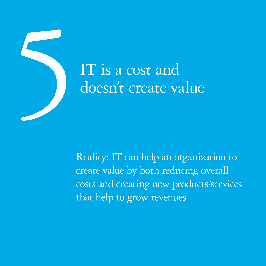

# doesn't create value

Reality: IT can help an organization to create value by both reducing overall costs and creating new products/services that help to grow revenues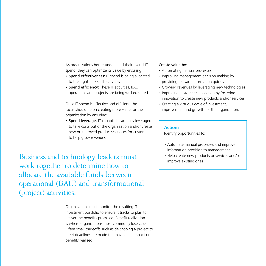As organizations better understand their overall IT spend, they can optimize its value by ensuring:

- Spend effectiveness: IT spend is being allocated to the 'right' mix of IT activities
- Spend efficiency: These IT activities, BAU operations and projects are being well executed.

Once IT spend is effective and efficient, the focus should be on creating more value for the organization by ensuring:

• Spend leverage: IT capabilities are fully leveraged to take costs out of the organization and/or create new or improved products/services for customers to help grow revenues.

Business and technology leaders must work together to determine how to allocate the available funds between operational (BAU) and transformational (project) activities.

> Organizations must monitor the resulting IT investment portfolio to ensure it tracks to plan to deliver the benefits promised. Benefit realization is where organizations most commonly lose value. Often small tradeoffs such as de-scoping a project to meet deadlines are made that have a big impact on benefits realized.

#### Create value by:

- Automating manual processes
- Improving management decision making by providing relevant information quickly
- Growing revenues by leveraging new technologies
- Improving customer satisfaction by fostering innovation to create new products and/or services
- Creating a virtuous cycle of investment. improvement and growth for the organization.

#### **Actions**

Identify opportunities to:

- • Automate manual processes and improve information provision to management
- Help create new products or services and/or improve existing ones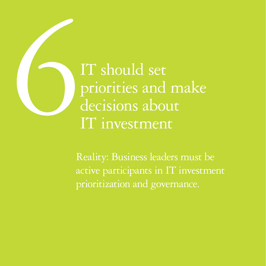IT should set<br>priorities and<br>decisions abou<br>IT investment priorities and make decisions about IT investment

> Reality: Business leaders must be active participants in IT investment prioritization and governance.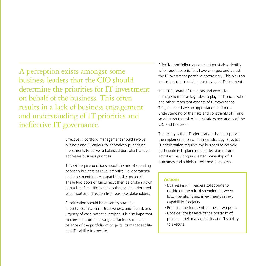A perception exists amongst some business leaders that the CIO should determine the priorities for IT investment on behalf of the business. This often results in a lack of business engagement and understanding of IT priorities and ineffective IT governance.

> Effective IT portfolio management should involve business and IT leaders collaboratively prioritizing investments to deliver a balanced portfolio that best addresses business priorities.

This will require decisions about the mix of spending between business as usual activities (i.e. operations) and investment in new capabilities (i.e. projects). These two pools of funds must then be broken down into a list of specific initiatives that can be prioritized with input and direction from business stakeholders.

Prioritization should be driven by strategic importance, financial attractiveness, and the risk and urgency of each potential project. It is also important to consider a broader range of factors such as the balance of the portfolio of projects, its manageability and IT's ability to execute.

Effective portfolio management must also identify when business priorities have changed and adjust the IT investment portfolio accordingly. This plays an important role in driving business and IT alignment.

The CEO, Board of Directors and executive management have key roles to play in IT prioritization and other important aspects of IT governance. They need to have an appreciation and basic understanding of the risks and constraints of IT and so diminish the risk of unrealistic expectations of the CIO and the team.

The reality is that IT prioritization should support the implementation of business strategy. Effective IT prioritization requires the business to actively participate in IT planning and decision making activities, resulting in greater ownership of IT outcomes and a higher likelihood of success.

- Business and IT leaders collaborate to decide on the mix of spending between BAU operations and investments in new capabilities/projects
- Prioritize the funds within these two pools
- • Consider the balance of the portfolio of projects, their manageability and IT's ability to execute.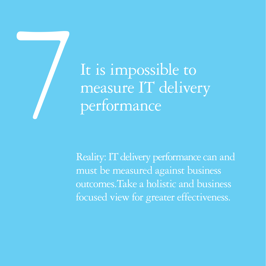# It is impossible to<br>measure IT deliver<br>performance measure IT delivery performance

Reality: IT delivery performance can and must be measured against business outcomes. Take a holistic and business focused view for greater effectiveness.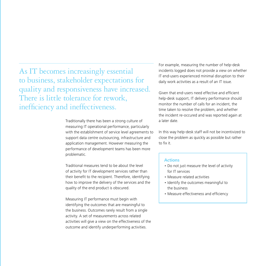As IT becomes increasingly essential to business, stakeholder expectations for quality and responsiveness have increased. There is little tolerance for rework, inefficiency and ineffectiveness.

> Traditionally there has been a strong culture of measuring IT operational performance, particularly with the establishment of service level agreements to support data centre outsourcing, infrastructure and application management. However measuring the performance of development teams has been more problematic.

Traditional measures tend to be about the level of activity for IT development services rather than their benefit to the recipient. Therefore, identifying how to improve the delivery of the services and the quality of the end product is obscured.

Measuring IT performance must begin with identifying the outcomes that are meaningful to the business. Outcomes rarely result from a single activity. A set of measurements across related activities will give a view on the effectiveness of the outcome and identify underperforming activities.

For example, measuring the number of help-desk incidents logged does not provide a view on whether IT end-users experienced minimal disruption to their daily work activities as a result of an IT issue.

Given that end-users need effective and efficient help-desk support, IT delivery performance should monitor the number of calls for an incident, the time taken to resolve the problem, and whether the incident re-occured and was reported again at a later date.

In this way help-desk staff will not be incentivized to close the problem as quickly as possible but rather to fix it.

- Do not just measure the level of activity for IT services
- • Measure related activities
- Identify the outcomes meaningful to the business
- Measure effectiveness and efficiency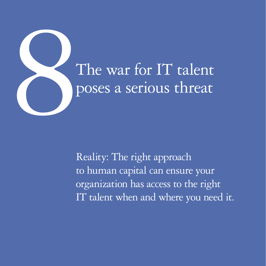

Reality: The right approach to human capital can ensure your organization has access to the right IT talent when and where you need it.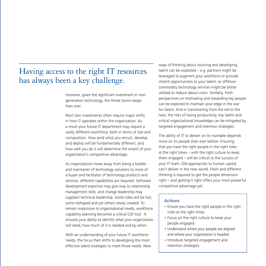#### Having access to the right IT resources has always been a key challenge.

However, given the significant investment in next generation technology, the threat looms larger than ever.

Next Gen investments often require major shifts in how IT operates within the organization. As a result your future IT department may require a vastly different workforce, both in terms of size and composition. How (and who) you recruit, develop and deploy will be fundamentally different; and how well you do it will determine the extent of your organization's competitive advantage.

As organizations move away from being a builder and maintainer of technology solutions to more of a buyer and facilitator of technology products and services, different capabilities are required. Software development expertise may give way to relationship management skills, and change leadership may supplant technical leadership. Some roles will be lost, some reshaped and yet others newly created. To remain responsive to organizational needs, workforce capability planning becomes a critical CIO tool. It ensures your ability to identify what your organization will need, how much of it is needed and by when.

With an understanding of your future IT workforce needs, the focus then shifts to developing the most effective talent strategies to meet those needs. New ways of thinking about sourcing and developing talent can be exploited  $-$  e.g. partners might be leveraged to augment your workforce or provide stretch opportunities to your talent, or offshore commodity technology services might be better utilized to reduce labour costs. Similarly, fresh perspectives on motivating and rewarding key people can be explored to maintain your edge in the war for talent. And in transitioning from the old to the new, the risks of losing productivity, key talent and critical organizational knowledge can be mitigated by targeted engagement and retention strategies.

The ability of IT to deliver on its mandate depends more on its people than ever before. Ensuring that you have the right people in the right roles at the right times – with the right culture to keep them engaged – will be critical to the success of your IT team. Old approaches to human capital can't deliver in the new world. Fresh and different thinking is required to get the people dimension right – and getting it right offers your most powerful competitive advantage yet.

- Ensure you have the right people in the right roles at the right times
- Focus on the right culture to keep your people engaged
- Understand where your people are aligned and where your organization is headed
- Introduce targeted engagement and retention strategies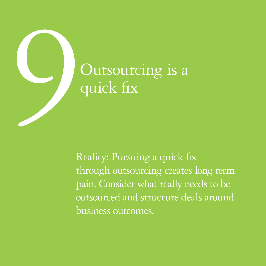

## quick fix

Reality: Pursuing a quick fix through outsourcing creates long term pain. Consider what really needs to be outsourced and structure deals around business outcomes.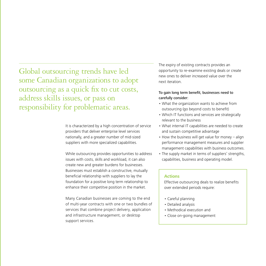Global outsourcing trends have led some Canadian organizations to adopt outsourcing as a quick fix to cut costs, address skills issues, or pass on responsibility for problematic areas.

> It is characterized by a high concentration of service providers that deliver enterprise level services nationally, and a greater number of mid-sized suppliers with more specialized capabilities.

> While outsourcing provides opportunities to address issues with costs, skills and workload, it can also create new and greater burdens for businesses. Businesses must establish a constructive, mutually beneficial relationship with suppliers to lay the foundation for a positive long term relationship to enhance their competitve position in the market.

> Many Canadian businesses are coming to the end of multi-year contracts with one or two bundles of services that combine project delivery, application and infrastructure management, or desktop support services.

The expiry of existing contracts provides an opportunity to re-examine existing deals or create new ones to deliver increased value over the next iteration.

#### To gain long term benefit, businesses need to carefully consider:

- What the organization wants to achieve from outsourcing (go beyond costs to benefit)
- Which IT functions and services are strategically relevant to the business
- What internal IT capabilities are needed to create and sustain competitive advantage
- How the business will get value for money align performance management measures and supplier management capabilities with business outcomes.
- The supply market in terms of suppliers' strengths, capabilities, business and operating model.

#### **Actions**

Effective outsourcing deals to realize benefits over extended periods require:

- Careful planning
- Detailed analysis
- Methodical execution and
- Close on-going management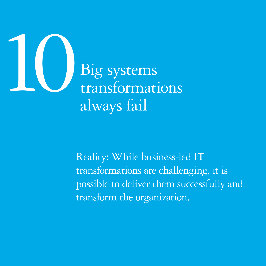

Reality: While business-led IT transformations are challenging, it is possible to deliver them successfully and transform the organization.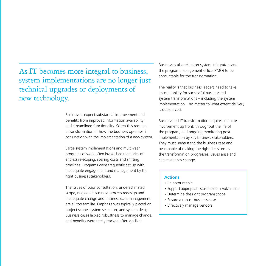As IT becomes more integral to business, system implementations are no longer just technical upgrades or deployments of new technology.

> Businesses expect substantial improvement and benefits from improved information availability and streamlined functionality. Often this requires a transformation of how the business operates in conjunction with the implementation of a new system.

Large system implementations and multi-year programs of work often invoke bad memories of endless re-scoping, soaring costs and shifting timelines. Programs were frequently set up with inadequate engagement and management by the right business stakeholders.

The issues of poor consultation, underestimated scope, neglected business process redesign and inadequate change and business data management are all too familiar. Emphasis was typically placed on project scope, system selection, and system design. Business cases lacked robustness to manage change, and benefits were rarely tracked after 'go-live'.

Businesses also relied on system integrators and the program management office (PMO) to be accountable for the transformation.

The reality is that business leaders need to take accountability for successful business-led system transformations – including the system implementation – no matter to what extent delivery is outsourced.

Business-led IT transformation requires intimate involvement up front, throughout the life of the program, and ongoing monitoring post implementation by key business stakeholders. They must understand the business case and be capable of making the right decisions as the transformation progresses, issues arise and circumstances change.

- • Be accountable
- Support appropriate stakeholder involvement
- Determine the right program scope
- Ensure a robust business case
- Effectively manage vendors.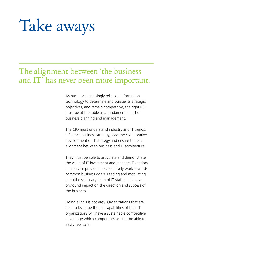### Take aways

#### The alignment between 'the business and IT' has never been more important.

As business increasingly relies on information technology to determine and pursue its strategic objectives, and remain competitive, the right CIO must be at the table as a fundamental part of business planning and management.

The CIO must understand industry and IT trends, influence business strategy, lead the collaborative development of IT strategy and ensure there is alignment between business and IT architecture.

They must be able to articulate and demonstrate the value of IT investment and manage IT vendors and service providers to collectively work towards common business goals. Leading and motivating a multi-disciplinary team of IT staff can have a profound impact on the direction and success of the business.

Doing all this is not easy. Organizations that are able to leverage the full capabilities of their IT organizations will have a sustainable competitive advantage which competitors will not be able to easily replicate.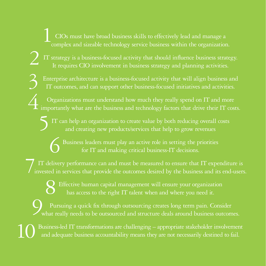CIOs must have broad business skills to effectively lead and manage a complex and sizeable technology service business within the organization. 1

IT strategy is a business-focused activity that should influence business strategy. It requires CIO involvement in business strategy and planning activities.

2

6

Enterprise architecture is a business-focused activity that will align business and IT outcomes, and can support other business-focused initiatives and activities. 3

Organizations must understand how much they really spend on IT and more **importantly what are the business and technology factors that drive their IT costs.**<br>I importantly what are the business and technology factors that drive their IT costs.

IT can help an organization to create value by both reducing overall costs and creating new products/services that help to grow revenues 5

> Business leaders must play an active role in setting the priorities for IT and making critical business-IT decisions.

IT delivery performance can and must be measured to ensure that IT expenditure is invested in services that provide the outcomes desired by the business and its end-users.  $\overline{7}$ 

Effective human capital management will ensure your organization has access to the right IT talent when and where you need it. 8

Pursuing a quick fix through outsourcing creates long term pain. Consider what really needs to be outsourced and structure deals around business outcomes. 9

Business-led IT transformations are challenging – appropriate stakeholder involvement and adequate business accountability means they are not necessarily destined to fail. 10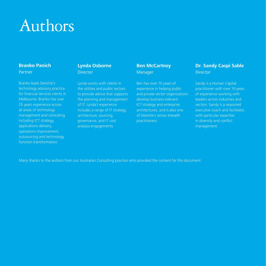### Authors

#### **Branko Panich** Partner

Branko leads Deloitte's technology advisory practice for financial services clients in Melbourne. Branko has over 25 years experience across all areas of technology management and consulting including ICT strategy, applications delivery, operations improvement, outsourcing and technology function transformation.

#### **Lynda Osborne Director**

Lynda works with clients in the utilities and public sectors to provide advice that supports the planning and management of IT. Lynda's experience includes a range of IT strategy, architecture, sourcing, governance, and IT cost analysis engagements.

#### **Ben McCartney** Manager

Ben has over 10 years of experience in helping public and private sector organizations develop business-relevant ICT strategy and enterprise architectures, and is also one of Deloitte's senior eHealth practitioners.

#### **Dr. Sandy Caspi Sable Director**

Sandy is a Human Capital practitioner with over 10 years of experience working with leaders across industries and sectors. Sandy is a seasoned executive coach and facilitator, with particular expertise in diversity and conflict management.

Many thanks to the authors from our Australian Consulting practice who provided the content for this document.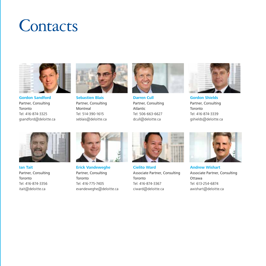### **Contacts**



**Gordon Sandford** Partner, Consulting Toronto Tel: 416-874-3325 gsandford@deloitte.ca



**Sebastien Blais** Partner, Consulting Montreal Tel: 514-390-1615 seblais@deloitte.ca



**Darren Cull** Partner, Consulting Atlantic Tel: 506-663-6627 dcull@deloitte.ca



**Gordon Shields** Partner, Consulting Toronto Tel: 416-874-3339 gshields@deloitte.ca



**Ian Tait** Partner, Consulting Toronto Tel: 416-874-3356 itait@deloitte.ca



**Erick Vandeweghe**  Partner, Consulting Toronto Tel: 416-775-7405 evandeweghe@deloitte.ca



**Cielito Ward** Associate Partner, Consulting Toronto Tel: 416-874-3367 ciward@deloitte.ca



**Andrew Wishart** Associate Partner, Consulting Ottawa Tel: 613-254-6874 awishart@deloitte.ca